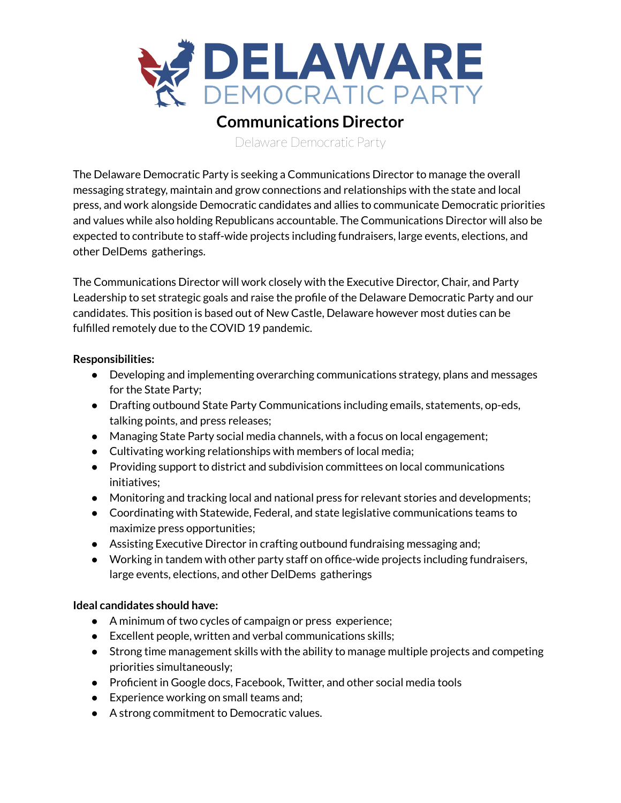

## **Communications Director**

Delaware Democratic Party

The Delaware Democratic Party is seeking a Communications Director to manage the overall messaging strategy, maintain and grow connections and relationships with the state and local press, and work alongside Democratic candidates and allies to communicate Democratic priorities and values while also holding Republicans accountable. The Communications Director will also be expected to contribute to staff-wide projects including fundraisers, large events, elections, and other DelDems gatherings.

The Communications Director will work closely with the Executive Director, Chair, and Party Leadership to set strategic goals and raise the profile of the Delaware Democratic Party and our candidates. This position is based out of New Castle, Delaware however most duties can be fulfilled remotely due to the COVID 19 pandemic.

## **Responsibilities:**

- Developing and implementing overarching communications strategy, plans and messages for the State Party;
- Drafting outbound State Party Communications including emails, statements, op-eds, talking points, and press releases;
- Managing State Party social media channels, with a focus on local engagement;
- Cultivating working relationships with members of local media;
- Providing support to district and subdivision committees on local communications initiatives;
- Monitoring and tracking local and national press for relevant stories and developments;
- Coordinating with Statewide, Federal, and state legislative communications teams to maximize press opportunities;
- Assisting Executive Director in crafting outbound fundraising messaging and;
- Working in tandem with other party staff on office-wide projects including fundraisers, large events, elections, and other DelDems gatherings

## **Ideal candidates should have:**

- A minimum of two cycles of campaign or press experience;
- Excellent people, written and verbal communications skills;
- Strong time management skills with the ability to manage multiple projects and competing priorities simultaneously;
- Proficient in Google docs, Facebook, Twitter, and other social media tools
- Experience working on small teams and;
- A strong commitment to Democratic values.